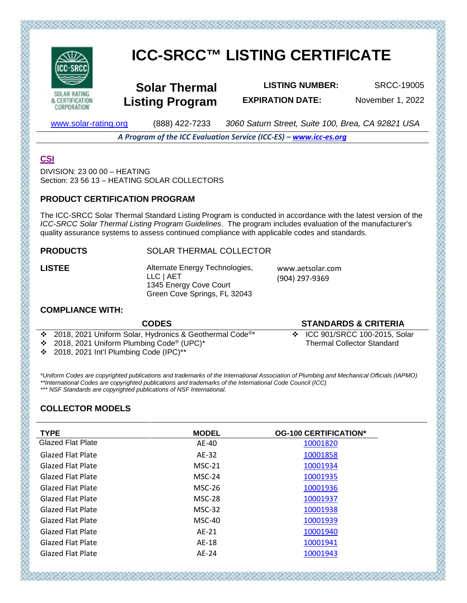

**CORPORATION** 

# **ICC-SRCC™ LISTING CERTIFICATE**

**Solar Thermal Listing Program**

**LISTING NUMBER:** SRCC-19005 **EXPIRATION DATE:** November 1, 2022

[www.solar-rating.org](http://www.solar-rating.org/) (888) 422-7233 *3060 Saturn Street, Suite 100, Brea, CA 92821 USA*

*A Program of the ICC Evaluation Service (ICC-ES) – [www.icc-es.org](http://www.icc-es.org/)*

# **[CSI](http://www.masterformat.com/revisions/)**

DIVISION: 23 00 00 – HEATING Section: 23 56 13 – HEATING SOLAR COLLECTORS

#### **PRODUCT CERTIFICATION PROGRAM**

The ICC-SRCC Solar Thermal Standard Listing Program is conducted in accordance with the latest version of the *ICC-SRCC Solar Thermal Listing Program Guidelines*. The program includes evaluation of the manufacturer's quality assurance systems to assess continued compliance with applicable codes and standards.

# **PRODUCTS** SOLAR THERMAL COLLECTOR

**LISTEE** Alternate Energy Technologies, LLC | AET 1345 Energy Cove Court Green Cove Springs, FL 32043

www.aetsolar.com (904) 297-9369

# **COMPLIANCE WITH:**

| <b>CODES</b>                                                          | <b>STANDARDS &amp; CRITERIA</b>   |
|-----------------------------------------------------------------------|-----------------------------------|
| ❖ 2018, 2021 Uniform Solar, Hydronics & Geothermal Code <sup>®*</sup> | ❖ ICC 901/SRCC 100-2015, Solar    |
| $\div$ 2018, 2021 Uniform Plumbing Code® (UPC)*                       | <b>Thermal Collector Standard</b> |
| $\div$ 2018, 2021 Int'l Plumbing Code (IPC)**                         |                                   |
|                                                                       |                                   |

*\*Uniform Codes are copyrighted publications and trademarks of the International Association of Plumbing and Mechanical Officials (IAPMO) \*\*International Codes are copyrighted publications and trademarks of the International Code Council (ICC) \*\*\* NSF Standards are copyrighted publications of NSF International.*

# **COLLECTOR MODELS**

| <b>TYPE</b>              | <b>MODEL</b> | <b>OG-100 CERTIFICATION*</b> |
|--------------------------|--------------|------------------------------|
| <b>Glazed Flat Plate</b> | AE-40        | 10001820                     |
| <b>Glazed Flat Plate</b> | AE-32        | 10001858                     |
| <b>Glazed Flat Plate</b> | $MSC-21$     | 10001934                     |
| <b>Glazed Flat Plate</b> | $MSC-24$     | 10001935                     |
| <b>Glazed Flat Plate</b> | $MSC-26$     | 10001936                     |
| <b>Glazed Flat Plate</b> | MSC-28       | 10001937                     |
| <b>Glazed Flat Plate</b> | $MSC-32$     | 10001938                     |
| <b>Glazed Flat Plate</b> | MSC-40       | 10001939                     |
| <b>Glazed Flat Plate</b> | $AE-21$      | 10001940                     |
| <b>Glazed Flat Plate</b> | AE-18        | 10001941                     |
| <b>Glazed Flat Plate</b> | AE-24        | 10001943                     |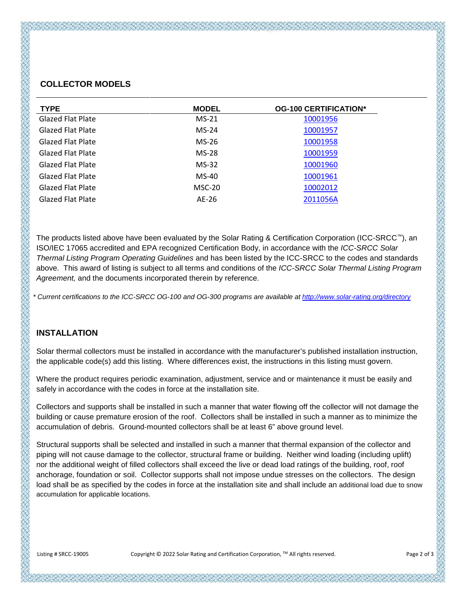# **COLLECTOR MODELS**

| <b>TYPE</b>              | <b>MODEL</b> | <b>OG-100 CERTIFICATION*</b> |
|--------------------------|--------------|------------------------------|
| <b>Glazed Flat Plate</b> | $MS-21$      | 10001956                     |
| <b>Glazed Flat Plate</b> | $MS-24$      | 10001957                     |
| <b>Glazed Flat Plate</b> | $MS-26$      | 10001958                     |
| <b>Glazed Flat Plate</b> | $MS-28$      | 10001959                     |
| <b>Glazed Flat Plate</b> | $MS-32$      | 10001960                     |
| <b>Glazed Flat Plate</b> | MS-40        | 10001961                     |
| <b>Glazed Flat Plate</b> | $MSC-20$     | 10002012                     |
| <b>Glazed Flat Plate</b> | AE-26        | 2011056A                     |

The products listed above have been evaluated by the Solar Rating & Certification Corporation (ICC-SRCC™), an ISO/IEC 17065 accredited and EPA recognized Certification Body, in accordance with the *ICC-SRCC Solar Thermal Listing Program Operating Guidelines* and has been listed by the ICC-SRCC to the codes and standards above. This award of listing is subject to all terms and conditions of the *ICC-SRCC Solar Thermal Listing Program Agreement,* and the documents incorporated therein by reference.

*\* Current certifications to the ICC-SRCC OG-100 and OG-300 programs are available a[t http://www.solar-rating.org/directory](http://www.solar-rating.org/directory)*

#### **INSTALLATION**

Solar thermal collectors must be installed in accordance with the manufacturer's published installation instruction, the applicable code(s) add this listing. Where differences exist, the instructions in this listing must govern.

Where the product requires periodic examination, adjustment, service and or maintenance it must be easily and safely in accordance with the codes in force at the installation site.

Collectors and supports shall be installed in such a manner that water flowing off the collector will not damage the building or cause premature erosion of the roof. Collectors shall be installed in such a manner as to minimize the accumulation of debris. Ground-mounted collectors shall be at least 6" above ground level.

Structural supports shall be selected and installed in such a manner that thermal expansion of the collector and piping will not cause damage to the collector, structural frame or building. Neither wind loading (including uplift) nor the additional weight of filled collectors shall exceed the live or dead load ratings of the building, roof, roof anchorage, foundation or soil. Collector supports shall not impose undue stresses on the collectors. The design load shall be as specified by the codes in force at the installation site and shall include an additional load due to snow accumulation for applicable locations.